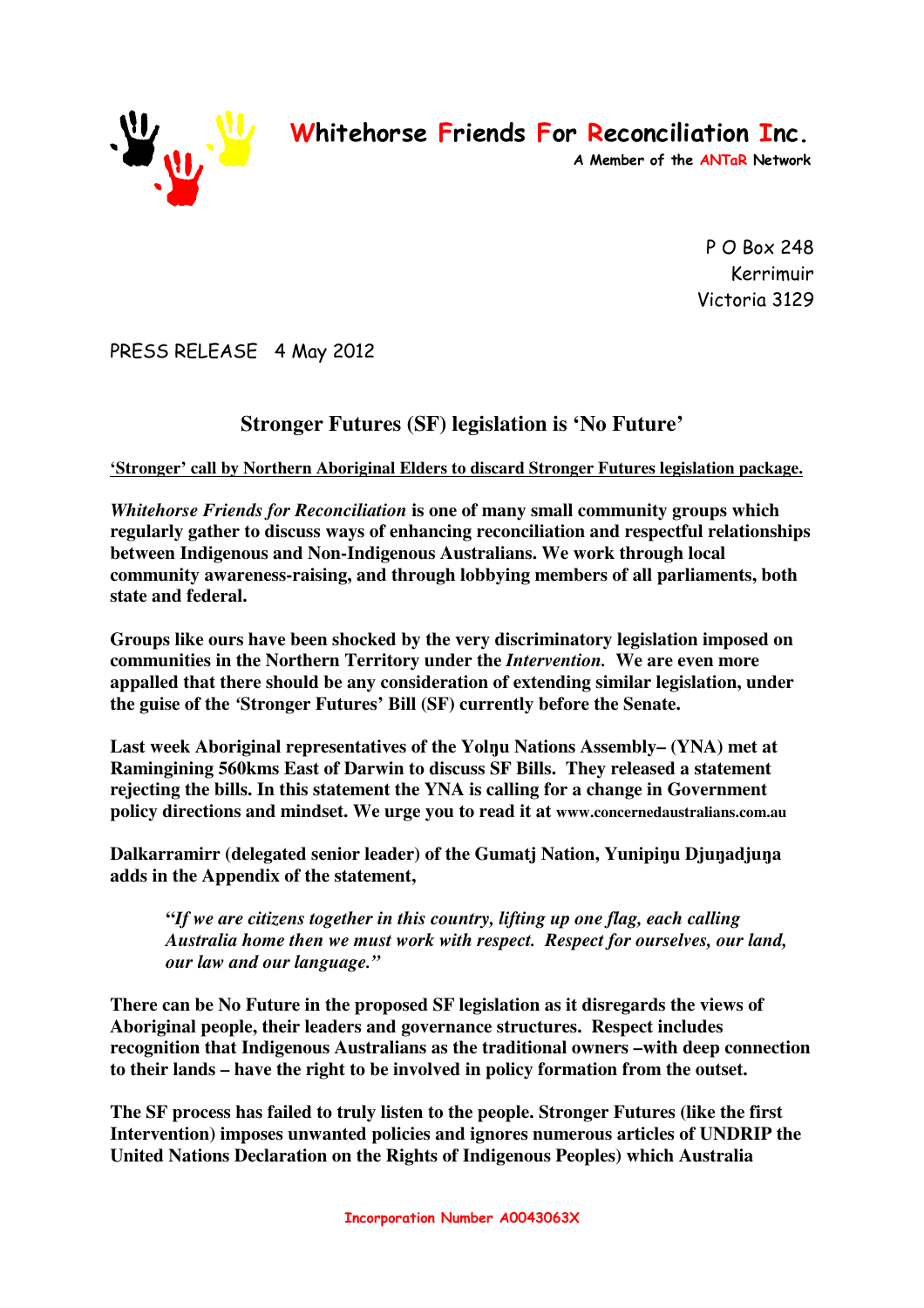

**Whitehorse Friends For Reconciliation Inc.** 

**A Member of the ANTaR Network** 

P O Box 248 Kerrimuir Victoria 3129

PRESS RELEASE 4 May 2012

## **Stronger Futures (SF) legislation is 'No Future'**

## **'Stronger' call by Northern Aboriginal Elders to discard Stronger Futures legislation package.**

*Whitehorse Friends for Reconciliation* **is one of many small community groups which regularly gather to discuss ways of enhancing reconciliation and respectful relationships between Indigenous and Non-Indigenous Australians. We work through local community awareness-raising, and through lobbying members of all parliaments, both state and federal.** 

**Groups like ours have been shocked by the very discriminatory legislation imposed on communities in the Northern Territory under the** *Intervention.* **We are even more appalled that there should be any consideration of extending similar legislation, under the guise of the** *'***Stronger Futures' Bill (SF) currently before the Senate.** 

**Last week Aboriginal representatives of the Yolŋu Nations Assembly– (YNA) met at Ramingining 560kms East of Darwin to discuss SF Bills. They released a statement rejecting the bills. In this statement the YNA is calling for a change in Government policy directions and mindset. We urge you to read it at www.concernedaustralians.com.au**

**Dalkarramirr (delegated senior leader) of the Gumatj Nation, Yunipiŋu Djuŋadjuŋa adds in the Appendix of the statement,** 

**"***If we are citizens together in this country, lifting up one flag, each calling Australia home then we must work with respect. Respect for ourselves, our land, our law and our language."*

**There can be No Future in the proposed SF legislation as it disregards the views of Aboriginal people, their leaders and governance structures. Respect includes recognition that Indigenous Australians as the traditional owners –with deep connection to their lands – have the right to be involved in policy formation from the outset.** 

**The SF process has failed to truly listen to the people. Stronger Futures (like the first Intervention) imposes unwanted policies and ignores numerous articles of UNDRIP the United Nations Declaration on the Rights of Indigenous Peoples) which Australia**